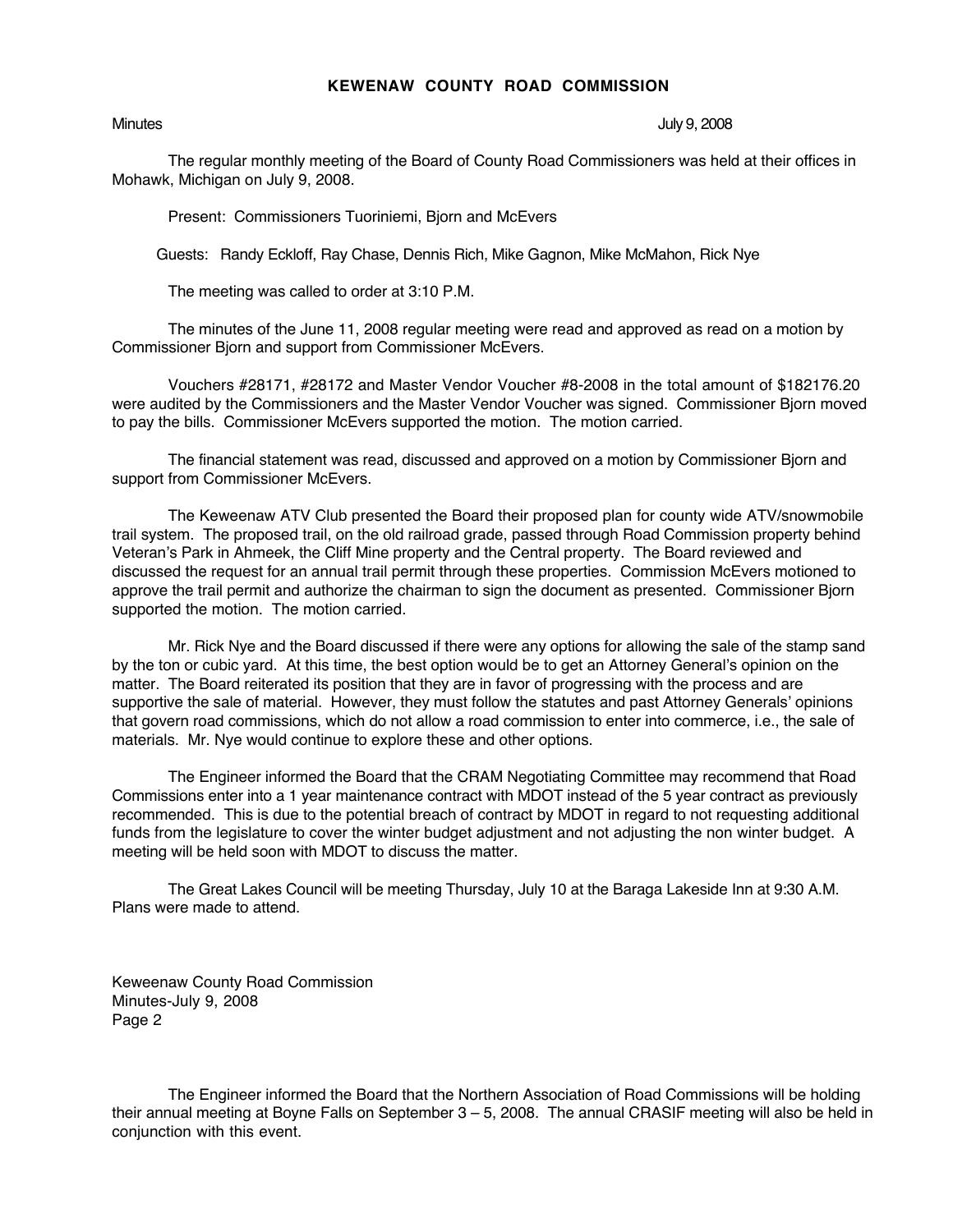## **KEWENAW COUNTY ROAD COMMISSION**

Minutes July 9, 2008

The regular monthly meeting of the Board of County Road Commissioners was held at their offices in Mohawk, Michigan on July 9, 2008.

Present: Commissioners Tuoriniemi, Bjorn and McEvers

Guests: Randy Eckloff, Ray Chase, Dennis Rich, Mike Gagnon, Mike McMahon, Rick Nye

The meeting was called to order at 3:10 P.M.

The minutes of the June 11, 2008 regular meeting were read and approved as read on a motion by Commissioner Bjorn and support from Commissioner McEvers.

Vouchers #28171, #28172 and Master Vendor Voucher #8-2008 in the total amount of \$182176.20 were audited by the Commissioners and the Master Vendor Voucher was signed. Commissioner Bjorn moved to pay the bills. Commissioner McEvers supported the motion. The motion carried.

The financial statement was read, discussed and approved on a motion by Commissioner Bjorn and support from Commissioner McEvers.

The Keweenaw ATV Club presented the Board their proposed plan for county wide ATV/snowmobile trail system. The proposed trail, on the old railroad grade, passed through Road Commission property behind Veteran's Park in Ahmeek, the Cliff Mine property and the Central property. The Board reviewed and discussed the request for an annual trail permit through these properties. Commission McEvers motioned to approve the trail permit and authorize the chairman to sign the document as presented. Commissioner Bjorn supported the motion. The motion carried.

Mr. Rick Nye and the Board discussed if there were any options for allowing the sale of the stamp sand by the ton or cubic yard. At this time, the best option would be to get an Attorney General's opinion on the matter. The Board reiterated its position that they are in favor of progressing with the process and are supportive the sale of material. However, they must follow the statutes and past Attorney Generals' opinions that govern road commissions, which do not allow a road commission to enter into commerce, i.e., the sale of materials. Mr. Nye would continue to explore these and other options.

The Engineer informed the Board that the CRAM Negotiating Committee may recommend that Road Commissions enter into a 1 year maintenance contract with MDOT instead of the 5 year contract as previously recommended. This is due to the potential breach of contract by MDOT in regard to not requesting additional funds from the legislature to cover the winter budget adjustment and not adjusting the non winter budget. A meeting will be held soon with MDOT to discuss the matter.

The Great Lakes Council will be meeting Thursday, July 10 at the Baraga Lakeside Inn at 9:30 A.M. Plans were made to attend.

Keweenaw County Road Commission Minutes-July 9, 2008 Page 2

The Engineer informed the Board that the Northern Association of Road Commissions will be holding their annual meeting at Boyne Falls on September 3 – 5, 2008. The annual CRASIF meeting will also be held in conjunction with this event.